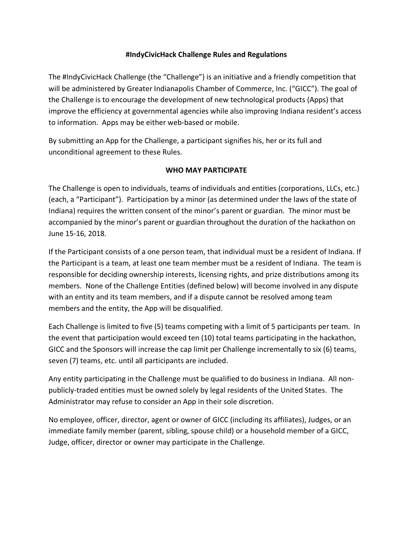# **#IndyCivicHack Challenge Rules and Regulations**

The #IndyCivicHack Challenge (the "Challenge") is an initiative and a friendly competition that will be administered by Greater Indianapolis Chamber of Commerce, Inc. ("GICC"). The goal of the Challenge is to encourage the development of new technological products (Apps) that improve the efficiency at governmental agencies while also improving Indiana resident's access to information. Apps may be either web-based or mobile.

By submitting an App for the Challenge, a participant signifies his, her or its full and unconditional agreement to these Rules.

# **WHO MAY PARTICIPATE**

The Challenge is open to individuals, teams of individuals and entities (corporations, LLCs, etc.) (each, a "Participant"). Participation by a minor (as determined under the laws of the state of Indiana) requires the written consent of the minor's parent or guardian. The minor must be accompanied by the minor's parent or guardian throughout the duration of the hackathon on June 15-16, 2018.

If the Participant consists of a one person team, that individual must be a resident of Indiana. If the Participant is a team, at least one team member must be a resident of Indiana. The team is responsible for deciding ownership interests, licensing rights, and prize distributions among its members. None of the Challenge Entities (defined below) will become involved in any dispute with an entity and its team members, and if a dispute cannot be resolved among team members and the entity, the App will be disqualified.

Each Challenge is limited to five (5) teams competing with a limit of 5 participants per team. In the event that participation would exceed ten (10) total teams participating in the hackathon, GICC and the Sponsors will increase the cap limit per Challenge incrementally to six (6) teams, seven (7) teams, etc. until all participants are included.

Any entity participating in the Challenge must be qualified to do business in Indiana. All nonpublicly-traded entities must be owned solely by legal residents of the United States. The Administrator may refuse to consider an App in their sole discretion.

No employee, officer, director, agent or owner of GICC (including its affiliates), Judges, or an immediate family member (parent, sibling, spouse child) or a household member of a GICC, Judge, officer, director or owner may participate in the Challenge.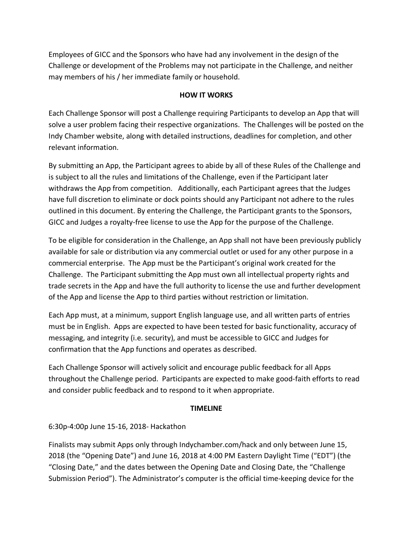Employees of GICC and the Sponsors who have had any involvement in the design of the Challenge or development of the Problems may not participate in the Challenge, and neither may members of his / her immediate family or household.

#### **HOW IT WORKS**

Each Challenge Sponsor will post a Challenge requiring Participants to develop an App that will solve a user problem facing their respective organizations. The Challenges will be posted on the Indy Chamber website, along with detailed instructions, deadlines for completion, and other relevant information.

By submitting an App, the Participant agrees to abide by all of these Rules of the Challenge and is subject to all the rules and limitations of the Challenge, even if the Participant later withdraws the App from competition. Additionally, each Participant agrees that the Judges have full discretion to eliminate or dock points should any Participant not adhere to the rules outlined in this document. By entering the Challenge, the Participant grants to the Sponsors, GICC and Judges a royalty-free license to use the App for the purpose of the Challenge.

To be eligible for consideration in the Challenge, an App shall not have been previously publicly available for sale or distribution via any commercial outlet or used for any other purpose in a commercial enterprise. The App must be the Participant's original work created for the Challenge. The Participant submitting the App must own all intellectual property rights and trade secrets in the App and have the full authority to license the use and further development of the App and license the App to third parties without restriction or limitation.

Each App must, at a minimum, support English language use, and all written parts of entries must be in English. Apps are expected to have been tested for basic functionality, accuracy of messaging, and integrity (i.e. security), and must be accessible to GICC and Judges for confirmation that the App functions and operates as described.

Each Challenge Sponsor will actively solicit and encourage public feedback for all Apps throughout the Challenge period. Participants are expected to make good-faith efforts to read and consider public feedback and to respond to it when appropriate.

#### **TIMELINE**

### 6:30p-4:00p June 15-16, 2018- Hackathon

Finalists may submit Apps only through Indychamber.com/hack and only between June 15, 2018 (the "Opening Date") and June 16, 2018 at 4:00 PM Eastern Daylight Time ("EDT") (the "Closing Date," and the dates between the Opening Date and Closing Date, the "Challenge Submission Period"). The Administrator's computer is the official time-keeping device for the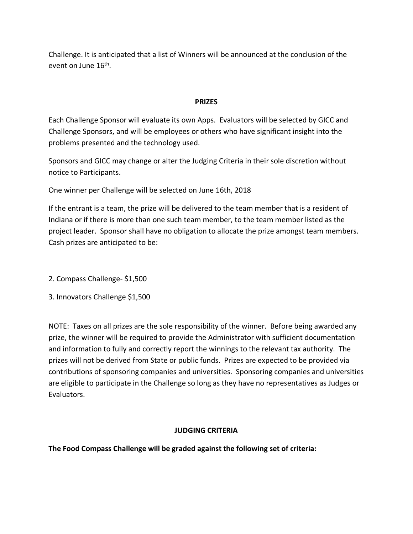Challenge. It is anticipated that a list of Winners will be announced at the conclusion of the event on June 16<sup>th</sup>.

### **PRIZES**

Each Challenge Sponsor will evaluate its own Apps. Evaluators will be selected by GICC and Challenge Sponsors, and will be employees or others who have significant insight into the problems presented and the technology used.

Sponsors and GICC may change or alter the Judging Criteria in their sole discretion without notice to Participants.

One winner per Challenge will be selected on June 16th, 2018

If the entrant is a team, the prize will be delivered to the team member that is a resident of Indiana or if there is more than one such team member, to the team member listed as the project leader. Sponsor shall have no obligation to allocate the prize amongst team members. Cash prizes are anticipated to be:

2. Compass Challenge- \$1,500

3. Innovators Challenge \$1,500

NOTE: Taxes on all prizes are the sole responsibility of the winner. Before being awarded any prize, the winner will be required to provide the Administrator with sufficient documentation and information to fully and correctly report the winnings to the relevant tax authority. The prizes will not be derived from State or public funds. Prizes are expected to be provided via contributions of sponsoring companies and universities. Sponsoring companies and universities are eligible to participate in the Challenge so long as they have no representatives as Judges or Evaluators.

### **JUDGING CRITERIA**

**The Food Compass Challenge will be graded against the following set of criteria:**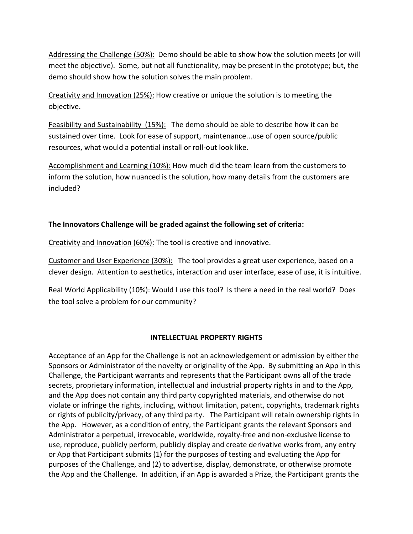Addressing the Challenge (50%): Demo should be able to show how the solution meets (or will meet the objective). Some, but not all functionality, may be present in the prototype; but, the demo should show how the solution solves the main problem.

Creativity and Innovation (25%): How creative or unique the solution is to meeting the objective.

Feasibility and Sustainability (15%): The demo should be able to describe how it can be sustained over time. Look for ease of support, maintenance...use of open source/public resources, what would a potential install or roll-out look like.

Accomplishment and Learning (10%): How much did the team learn from the customers to inform the solution, how nuanced is the solution, how many details from the customers are included?

# **The Innovators Challenge will be graded against the following set of criteria:**

Creativity and Innovation (60%): The tool is creative and innovative.

Customer and User Experience (30%): The tool provides a great user experience, based on a clever design. Attention to aesthetics, interaction and user interface, ease of use, it is intuitive.

Real World Applicability (10%): Would I use this tool? Is there a need in the real world? Does the tool solve a problem for our community?

### **INTELLECTUAL PROPERTY RIGHTS**

Acceptance of an App for the Challenge is not an acknowledgement or admission by either the Sponsors or Administrator of the novelty or originality of the App. By submitting an App in this Challenge, the Participant warrants and represents that the Participant owns all of the trade secrets, proprietary information, intellectual and industrial property rights in and to the App, and the App does not contain any third party copyrighted materials, and otherwise do not violate or infringe the rights, including, without limitation, patent, copyrights, trademark rights or rights of publicity/privacy, of any third party. The Participant will retain ownership rights in the App. However, as a condition of entry, the Participant grants the relevant Sponsors and Administrator a perpetual, irrevocable, worldwide, royalty-free and non-exclusive license to use, reproduce, publicly perform, publicly display and create derivative works from, any entry or App that Participant submits (1) for the purposes of testing and evaluating the App for purposes of the Challenge, and (2) to advertise, display, demonstrate, or otherwise promote the App and the Challenge. In addition, if an App is awarded a Prize, the Participant grants the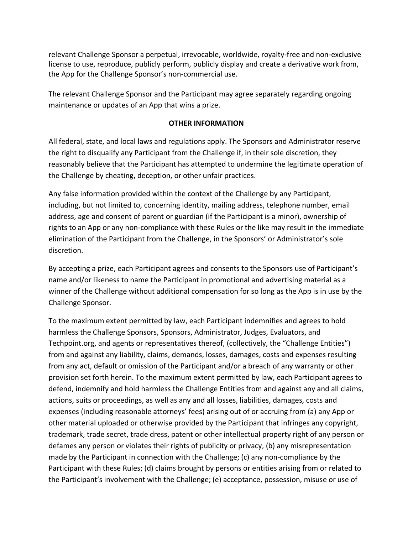relevant Challenge Sponsor a perpetual, irrevocable, worldwide, royalty-free and non-exclusive license to use, reproduce, publicly perform, publicly display and create a derivative work from, the App for the Challenge Sponsor's non-commercial use.

The relevant Challenge Sponsor and the Participant may agree separately regarding ongoing maintenance or updates of an App that wins a prize.

#### **OTHER INFORMATION**

All federal, state, and local laws and regulations apply. The Sponsors and Administrator reserve the right to disqualify any Participant from the Challenge if, in their sole discretion, they reasonably believe that the Participant has attempted to undermine the legitimate operation of the Challenge by cheating, deception, or other unfair practices.

Any false information provided within the context of the Challenge by any Participant, including, but not limited to, concerning identity, mailing address, telephone number, email address, age and consent of parent or guardian (if the Participant is a minor), ownership of rights to an App or any non-compliance with these Rules or the like may result in the immediate elimination of the Participant from the Challenge, in the Sponsors' or Administrator's sole discretion.

By accepting a prize, each Participant agrees and consents to the Sponsors use of Participant's name and/or likeness to name the Participant in promotional and advertising material as a winner of the Challenge without additional compensation for so long as the App is in use by the Challenge Sponsor.

To the maximum extent permitted by law, each Participant indemnifies and agrees to hold harmless the Challenge Sponsors, Sponsors, Administrator, Judges, Evaluators, and Techpoint.org, and agents or representatives thereof, (collectively, the "Challenge Entities") from and against any liability, claims, demands, losses, damages, costs and expenses resulting from any act, default or omission of the Participant and/or a breach of any warranty or other provision set forth herein. To the maximum extent permitted by law, each Participant agrees to defend, indemnify and hold harmless the Challenge Entities from and against any and all claims, actions, suits or proceedings, as well as any and all losses, liabilities, damages, costs and expenses (including reasonable attorneys' fees) arising out of or accruing from (a) any App or other material uploaded or otherwise provided by the Participant that infringes any copyright, trademark, trade secret, trade dress, patent or other intellectual property right of any person or defames any person or violates their rights of publicity or privacy, (b) any misrepresentation made by the Participant in connection with the Challenge; (c) any non-compliance by the Participant with these Rules; (d) claims brought by persons or entities arising from or related to the Participant's involvement with the Challenge; (e) acceptance, possession, misuse or use of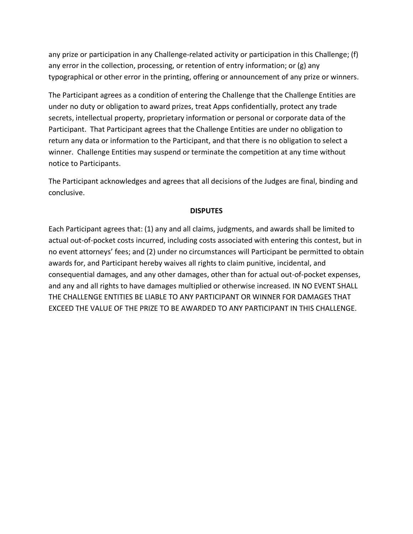any prize or participation in any Challenge-related activity or participation in this Challenge; (f) any error in the collection, processing, or retention of entry information; or (g) any typographical or other error in the printing, offering or announcement of any prize or winners.

The Participant agrees as a condition of entering the Challenge that the Challenge Entities are under no duty or obligation to award prizes, treat Apps confidentially, protect any trade secrets, intellectual property, proprietary information or personal or corporate data of the Participant. That Participant agrees that the Challenge Entities are under no obligation to return any data or information to the Participant, and that there is no obligation to select a winner. Challenge Entities may suspend or terminate the competition at any time without notice to Participants.

The Participant acknowledges and agrees that all decisions of the Judges are final, binding and conclusive.

#### **DISPUTES**

Each Participant agrees that: (1) any and all claims, judgments, and awards shall be limited to actual out-of-pocket costs incurred, including costs associated with entering this contest, but in no event attorneys' fees; and (2) under no circumstances will Participant be permitted to obtain awards for, and Participant hereby waives all rights to claim punitive, incidental, and consequential damages, and any other damages, other than for actual out-of-pocket expenses, and any and all rights to have damages multiplied or otherwise increased. IN NO EVENT SHALL THE CHALLENGE ENTITIES BE LIABLE TO ANY PARTICIPANT OR WINNER FOR DAMAGES THAT EXCEED THE VALUE OF THE PRIZE TO BE AWARDED TO ANY PARTICIPANT IN THIS CHALLENGE.